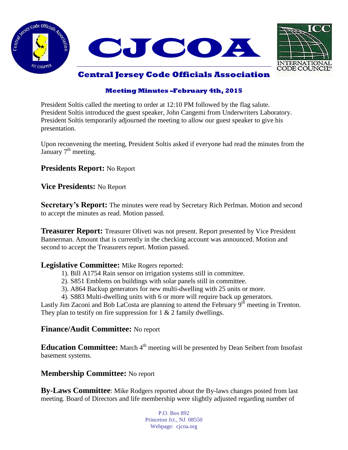



# **Central Jersey Code Officials Association**

### **Meeting Minutes –February 4th, 2015**

President Soltis called the meeting to order at 12:10 PM followed by the flag salute. President Soltis introduced the guest speaker, John Cangemi from Underwriters Laboratory. President Soltis temporarily adjourned the meeting to allow our guest speaker to give his presentation.

Upon reconvening the meeting, President Soltis asked if everyone had read the minutes from the January  $7<sup>th</sup>$  meeting.

**Presidents Report:** No Report

**Vice Presidents:** No Report

**Secretary's Report:** The minutes were read by Secretary Rich Perlman. Motion and second to accept the minutes as read. Motion passed.

**Treasurer Report:** Treasurer Oliveti was not present. Report presented by Vice President Bannerman. Amount that is currently in the checking account was announced. Motion and second to accept the Treasurers report. Motion passed.

#### **Legislative Committee:** Mike Rogers reported:

- 1). Bill A1754 Rain sensor on irrigation systems still in committee.
- 2). S851 Emblems on buildings with solar panels still in committee.
- 3). A864 Backup generators for new multi-dwelling with 25 units or more.

4). S883 Multi-dwelling units with 6 or more will require back up generators.

Lastly Jim Zaconi and Bob LaCosta are planning to attend the February 9<sup>th</sup> meeting in Trenton. They plan to testify on fire suppression for  $1 \& 2$  family dwellings.

#### **Finance/Audit Committee:** No report

**Education Committee:** March 4<sup>th</sup> meeting will be presented by Dean Seibert from Insofast basement systems.

### **Membership Committee:** No report

**By-Laws Committee**: Mike Rodgers reported about the By-laws changes posted from last meeting. Board of Directors and life membership were slightly adjusted regarding number of

> P.O. Box 892 Princeton Jct., NJ 08550 Webpage: cjcoa.org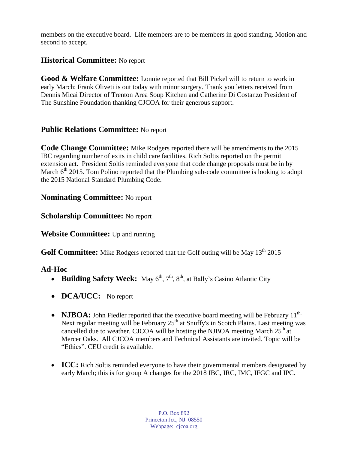members on the executive board. Life members are to be members in good standing. Motion and second to accept.

## **Historical Committee:** No report

**Good & Welfare Committee:** Lonnie reported that Bill Pickel will to return to work in early March; Frank Oliveti is out today with minor surgery. Thank you letters received from Dennis Micai Director of Trenton Area Soup Kitchen and Catherine Di Costanzo President of The Sunshine Foundation thanking CJCOA for their generous support.

### **Public Relations Committee:** No report

**Code Change Committee:** Mike Rodgers reported there will be amendments to the 2015 IBC regarding number of exits in child care facilities. Rich Soltis reported on the permit extension act. President Soltis reminded everyone that code change proposals must be in by March  $6<sup>th</sup>$  2015. Tom Polino reported that the Plumbing sub-code committee is looking to adopt the 2015 National Standard Plumbing Code.

### **Nominating Committee:** No report

### **Scholarship Committee:** No report

**Website Committee:** Up and running

**Golf Committee:** Mike Rodgers reported that the Golf outing will be May 13<sup>th</sup> 2015

### **Ad-Hoc**

- **Building Safety Week:** May  $6<sup>th</sup>$ ,  $7<sup>th</sup>$ ,  $8<sup>th</sup>$ , at Bally's Casino Atlantic City
- **DCA/UCC:** No report
- **NJBOA:** John Fiedler reported that the executive board meeting will be February 11<sup>th.</sup> Next regular meeting will be February  $25<sup>th</sup>$  at Snuffy's in Scotch Plains. Last meeting was cancelled due to weather. CJCOA will be hosting the NJBOA meeting March  $25<sup>th</sup>$  at Mercer Oaks. All CJCOA members and Technical Assistants are invited. Topic will be "Ethics". CEU credit is available.
- **ICC:** Rich Soltis reminded everyone to have their governmental members designated by early March; this is for group A changes for the 2018 IBC, IRC, IMC, IFGC and IPC.